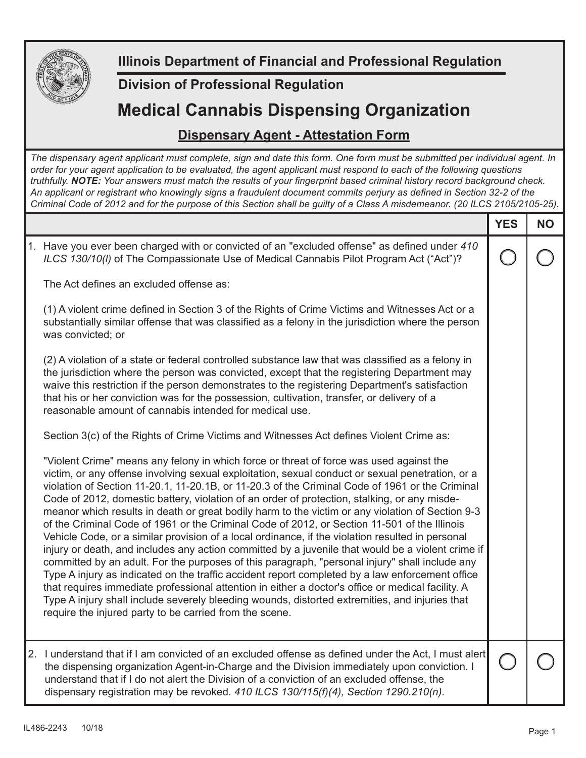

**Illinois Department of Financial and Professional Regulation**

## **Division of Professional Regulation**

## **Medical Cannabis Dispensing Organization**

## **Dispensary Agent - Attestation Form**

*The dispensary agent applicant must complete, sign and date this form. One form must be submitted per individual agent. In order for your agent application to be evaluated, the agent applicant must respond to each of the following questions truthfully. NOTE: Your answers must match the results of your fingerprint based criminal history record background check. An applicant or registrant who knowingly signs a fraudulent document commits perjury as defined in Section 32-2 of the Criminal Code of 2012 and for the purpose of this Section shall be guilty of a Class A misdemeanor. (20 ILCS 2105/2105-25).* 

|                                                                                                                                                                                                                                                                                                                                                                                                                                                                                                                                                                                                                                                                                                                                                                                                                                                                                                                                                                                                                                                                                                                                                                                                                                                                                    | <b>YES</b> | <b>NO</b> |
|------------------------------------------------------------------------------------------------------------------------------------------------------------------------------------------------------------------------------------------------------------------------------------------------------------------------------------------------------------------------------------------------------------------------------------------------------------------------------------------------------------------------------------------------------------------------------------------------------------------------------------------------------------------------------------------------------------------------------------------------------------------------------------------------------------------------------------------------------------------------------------------------------------------------------------------------------------------------------------------------------------------------------------------------------------------------------------------------------------------------------------------------------------------------------------------------------------------------------------------------------------------------------------|------------|-----------|
| 1. Have you ever been charged with or convicted of an "excluded offense" as defined under 410<br>ILCS 130/10(I) of The Compassionate Use of Medical Cannabis Pilot Program Act ("Act")?                                                                                                                                                                                                                                                                                                                                                                                                                                                                                                                                                                                                                                                                                                                                                                                                                                                                                                                                                                                                                                                                                            |            |           |
| The Act defines an excluded offense as:                                                                                                                                                                                                                                                                                                                                                                                                                                                                                                                                                                                                                                                                                                                                                                                                                                                                                                                                                                                                                                                                                                                                                                                                                                            |            |           |
| (1) A violent crime defined in Section 3 of the Rights of Crime Victims and Witnesses Act or a<br>substantially similar offense that was classified as a felony in the jurisdiction where the person<br>was convicted; or                                                                                                                                                                                                                                                                                                                                                                                                                                                                                                                                                                                                                                                                                                                                                                                                                                                                                                                                                                                                                                                          |            |           |
| (2) A violation of a state or federal controlled substance law that was classified as a felony in<br>the jurisdiction where the person was convicted, except that the registering Department may<br>waive this restriction if the person demonstrates to the registering Department's satisfaction<br>that his or her conviction was for the possession, cultivation, transfer, or delivery of a<br>reasonable amount of cannabis intended for medical use.                                                                                                                                                                                                                                                                                                                                                                                                                                                                                                                                                                                                                                                                                                                                                                                                                        |            |           |
| Section 3(c) of the Rights of Crime Victims and Witnesses Act defines Violent Crime as:                                                                                                                                                                                                                                                                                                                                                                                                                                                                                                                                                                                                                                                                                                                                                                                                                                                                                                                                                                                                                                                                                                                                                                                            |            |           |
| "Violent Crime" means any felony in which force or threat of force was used against the<br>victim, or any offense involving sexual exploitation, sexual conduct or sexual penetration, or a<br>violation of Section 11-20.1, 11-20.1B, or 11-20.3 of the Criminal Code of 1961 or the Criminal<br>Code of 2012, domestic battery, violation of an order of protection, stalking, or any misde-<br>meanor which results in death or great bodily harm to the victim or any violation of Section 9-3<br>of the Criminal Code of 1961 or the Criminal Code of 2012, or Section 11-501 of the Illinois<br>Vehicle Code, or a similar provision of a local ordinance, if the violation resulted in personal<br>injury or death, and includes any action committed by a juvenile that would be a violent crime if<br>committed by an adult. For the purposes of this paragraph, "personal injury" shall include any<br>Type A injury as indicated on the traffic accident report completed by a law enforcement office<br>that requires immediate professional attention in either a doctor's office or medical facility. A<br>Type A injury shall include severely bleeding wounds, distorted extremities, and injuries that<br>require the injured party to be carried from the scene. |            |           |
| 2. I understand that if I am convicted of an excluded offense as defined under the Act, I must alert<br>the dispensing organization Agent-in-Charge and the Division immediately upon conviction. I<br>understand that if I do not alert the Division of a conviction of an excluded offense, the<br>dispensary registration may be revoked. 410 ILCS 130/115(f)(4), Section 1290.210(n).                                                                                                                                                                                                                                                                                                                                                                                                                                                                                                                                                                                                                                                                                                                                                                                                                                                                                          |            |           |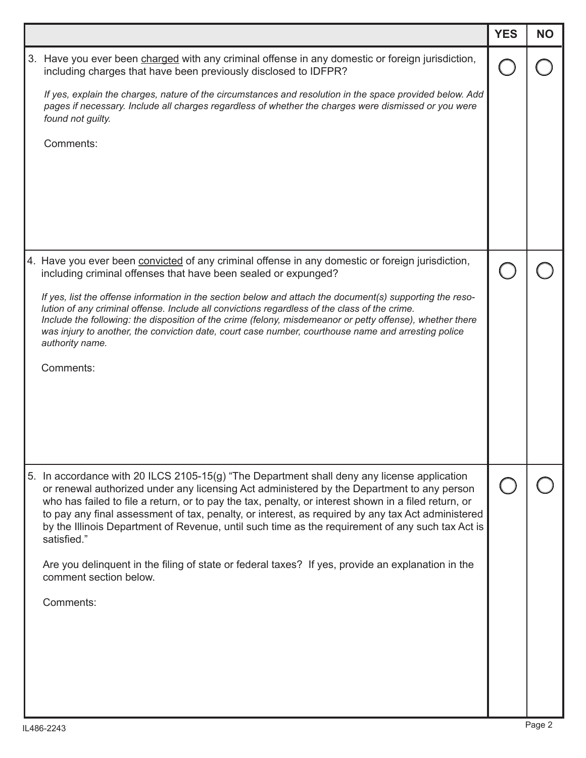|                                                                                                                                                                                                                                                                                                                                                                                                                                                                                                                                                                                                                                                                       | <b>YES</b> | <b>NO</b> |
|-----------------------------------------------------------------------------------------------------------------------------------------------------------------------------------------------------------------------------------------------------------------------------------------------------------------------------------------------------------------------------------------------------------------------------------------------------------------------------------------------------------------------------------------------------------------------------------------------------------------------------------------------------------------------|------------|-----------|
| 3. Have you ever been charged with any criminal offense in any domestic or foreign jurisdiction,<br>including charges that have been previously disclosed to IDFPR?<br>If yes, explain the charges, nature of the circumstances and resolution in the space provided below. Add<br>pages if necessary. Include all charges regardless of whether the charges were dismissed or you were<br>found not guilty.<br>Comments:                                                                                                                                                                                                                                             |            |           |
| 4. Have you ever been convicted of any criminal offense in any domestic or foreign jurisdiction,<br>including criminal offenses that have been sealed or expunged?<br>If yes, list the offense information in the section below and attach the document(s) supporting the reso-<br>lution of any criminal offense. Include all convictions regardless of the class of the crime.<br>Include the following: the disposition of the crime (felony, misdemeanor or petty offense), whether there<br>was injury to another, the conviction date, court case number, courthouse name and arresting police<br>authority name.<br>Comments:                                  |            |           |
| 5. In accordance with 20 ILCS 2105-15(g) "The Department shall deny any license application<br>or renewal authorized under any licensing Act administered by the Department to any person<br>who has failed to file a return, or to pay the tax, penalty, or interest shown in a filed return, or<br>to pay any final assessment of tax, penalty, or interest, as required by any tax Act administered<br>by the Illinois Department of Revenue, until such time as the requirement of any such tax Act is<br>satisfied."<br>Are you delinquent in the filing of state or federal taxes? If yes, provide an explanation in the<br>comment section below.<br>Comments: |            |           |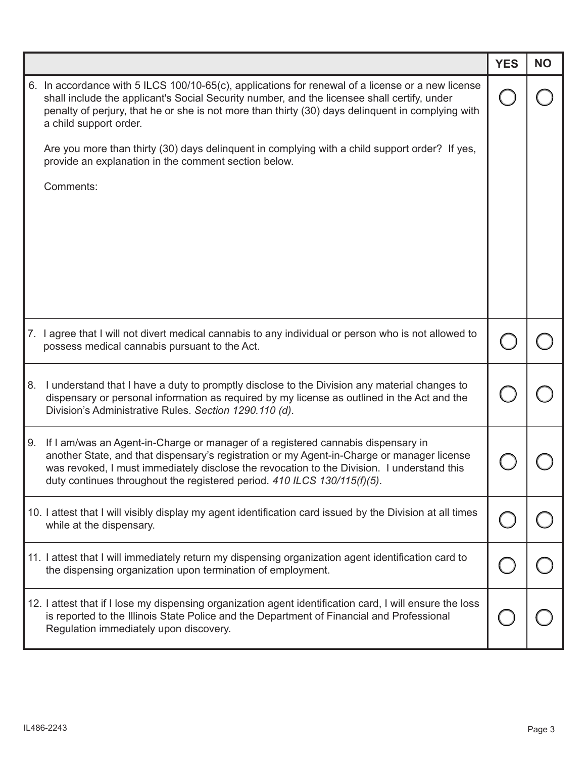|    |                                                                                                                                                                                                                                                                                                                                                          | <b>YES</b> | <b>NO</b> |
|----|----------------------------------------------------------------------------------------------------------------------------------------------------------------------------------------------------------------------------------------------------------------------------------------------------------------------------------------------------------|------------|-----------|
|    | 6. In accordance with 5 ILCS 100/10-65(c), applications for renewal of a license or a new license<br>shall include the applicant's Social Security number, and the licensee shall certify, under<br>penalty of perjury, that he or she is not more than thirty (30) days delinguent in complying with<br>a child support order.                          |            |           |
|    | Are you more than thirty (30) days delinquent in complying with a child support order? If yes,<br>provide an explanation in the comment section below.                                                                                                                                                                                                   |            |           |
|    | Comments:                                                                                                                                                                                                                                                                                                                                                |            |           |
|    |                                                                                                                                                                                                                                                                                                                                                          |            |           |
|    |                                                                                                                                                                                                                                                                                                                                                          |            |           |
|    |                                                                                                                                                                                                                                                                                                                                                          |            |           |
|    |                                                                                                                                                                                                                                                                                                                                                          |            |           |
|    | 7. I agree that I will not divert medical cannabis to any individual or person who is not allowed to<br>possess medical cannabis pursuant to the Act.                                                                                                                                                                                                    |            |           |
|    | 8. I understand that I have a duty to promptly disclose to the Division any material changes to<br>dispensary or personal information as required by my license as outlined in the Act and the<br>Division's Administrative Rules. Section 1290.110 (d).                                                                                                 |            |           |
| 9. | If I am/was an Agent-in-Charge or manager of a registered cannabis dispensary in<br>another State, and that dispensary's registration or my Agent-in-Charge or manager license<br>was revoked, I must immediately disclose the revocation to the Division. I understand this<br>duty continues throughout the registered period. 410 ILCS 130/115(f)(5). |            |           |
|    | 10. I attest that I will visibly display my agent identification card issued by the Division at all times<br>while at the dispensary.                                                                                                                                                                                                                    |            |           |
|    | 11. I attest that I will immediately return my dispensing organization agent identification card to<br>the dispensing organization upon termination of employment.                                                                                                                                                                                       |            |           |
|    | 12. I attest that if I lose my dispensing organization agent identification card, I will ensure the loss<br>is reported to the Illinois State Police and the Department of Financial and Professional<br>Regulation immediately upon discovery.                                                                                                          |            |           |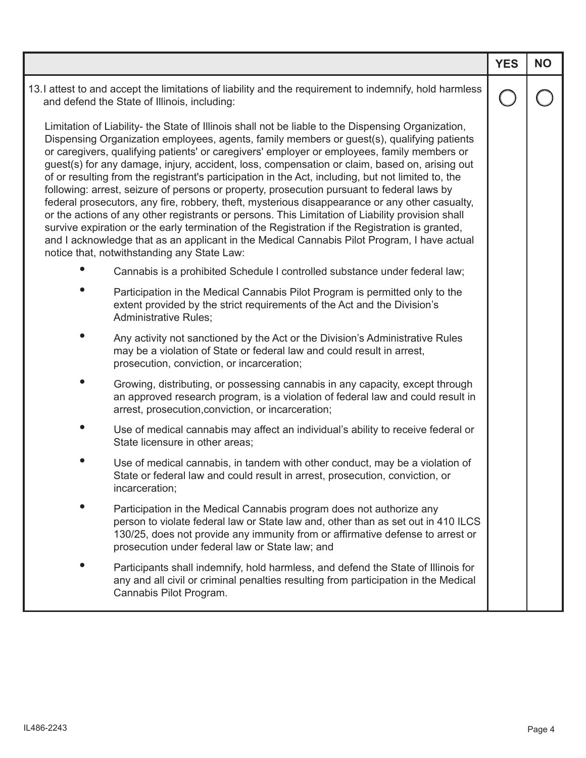|                                                                                                                                                                                                                                                                                                                                                                                                                                                                                                                                                                                                                                                                                                                                                                                                                                                                                                                                                                                                                                                             | <b>YES</b> | <b>NO</b> |
|-------------------------------------------------------------------------------------------------------------------------------------------------------------------------------------------------------------------------------------------------------------------------------------------------------------------------------------------------------------------------------------------------------------------------------------------------------------------------------------------------------------------------------------------------------------------------------------------------------------------------------------------------------------------------------------------------------------------------------------------------------------------------------------------------------------------------------------------------------------------------------------------------------------------------------------------------------------------------------------------------------------------------------------------------------------|------------|-----------|
| 13.I attest to and accept the limitations of liability and the requirement to indemnify, hold harmless<br>and defend the State of Illinois, including:                                                                                                                                                                                                                                                                                                                                                                                                                                                                                                                                                                                                                                                                                                                                                                                                                                                                                                      |            |           |
| Limitation of Liability- the State of Illinois shall not be liable to the Dispensing Organization,<br>Dispensing Organization employees, agents, family members or guest(s), qualifying patients<br>or caregivers, qualifying patients' or caregivers' employer or employees, family members or<br>guest(s) for any damage, injury, accident, loss, compensation or claim, based on, arising out<br>of or resulting from the registrant's participation in the Act, including, but not limited to, the<br>following: arrest, seizure of persons or property, prosecution pursuant to federal laws by<br>federal prosecutors, any fire, robbery, theft, mysterious disappearance or any other casualty,<br>or the actions of any other registrants or persons. This Limitation of Liability provision shall<br>survive expiration or the early termination of the Registration if the Registration is granted,<br>and I acknowledge that as an applicant in the Medical Cannabis Pilot Program, I have actual<br>notice that, notwithstanding any State Law: |            |           |
| Cannabis is a prohibited Schedule I controlled substance under federal law;                                                                                                                                                                                                                                                                                                                                                                                                                                                                                                                                                                                                                                                                                                                                                                                                                                                                                                                                                                                 |            |           |
| Participation in the Medical Cannabis Pilot Program is permitted only to the<br>extent provided by the strict requirements of the Act and the Division's<br><b>Administrative Rules:</b>                                                                                                                                                                                                                                                                                                                                                                                                                                                                                                                                                                                                                                                                                                                                                                                                                                                                    |            |           |
| Any activity not sanctioned by the Act or the Division's Administrative Rules<br>may be a violation of State or federal law and could result in arrest,<br>prosecution, conviction, or incarceration;                                                                                                                                                                                                                                                                                                                                                                                                                                                                                                                                                                                                                                                                                                                                                                                                                                                       |            |           |
| Growing, distributing, or possessing cannabis in any capacity, except through<br>an approved research program, is a violation of federal law and could result in<br>arrest, prosecution, conviction, or incarceration;                                                                                                                                                                                                                                                                                                                                                                                                                                                                                                                                                                                                                                                                                                                                                                                                                                      |            |           |
| Use of medical cannabis may affect an individual's ability to receive federal or<br>State licensure in other areas;                                                                                                                                                                                                                                                                                                                                                                                                                                                                                                                                                                                                                                                                                                                                                                                                                                                                                                                                         |            |           |
| Use of medical cannabis, in tandem with other conduct, may be a violation of<br>State or federal law and could result in arrest, prosecution, conviction, or<br>incarceration;                                                                                                                                                                                                                                                                                                                                                                                                                                                                                                                                                                                                                                                                                                                                                                                                                                                                              |            |           |
| Participation in the Medical Cannabis program does not authorize any<br>person to violate federal law or State law and, other than as set out in 410 ILCS<br>130/25, does not provide any immunity from or affirmative defense to arrest or<br>prosecution under federal law or State law; and                                                                                                                                                                                                                                                                                                                                                                                                                                                                                                                                                                                                                                                                                                                                                              |            |           |
| Participants shall indemnify, hold harmless, and defend the State of Illinois for<br>any and all civil or criminal penalties resulting from participation in the Medical<br>Cannabis Pilot Program.                                                                                                                                                                                                                                                                                                                                                                                                                                                                                                                                                                                                                                                                                                                                                                                                                                                         |            |           |